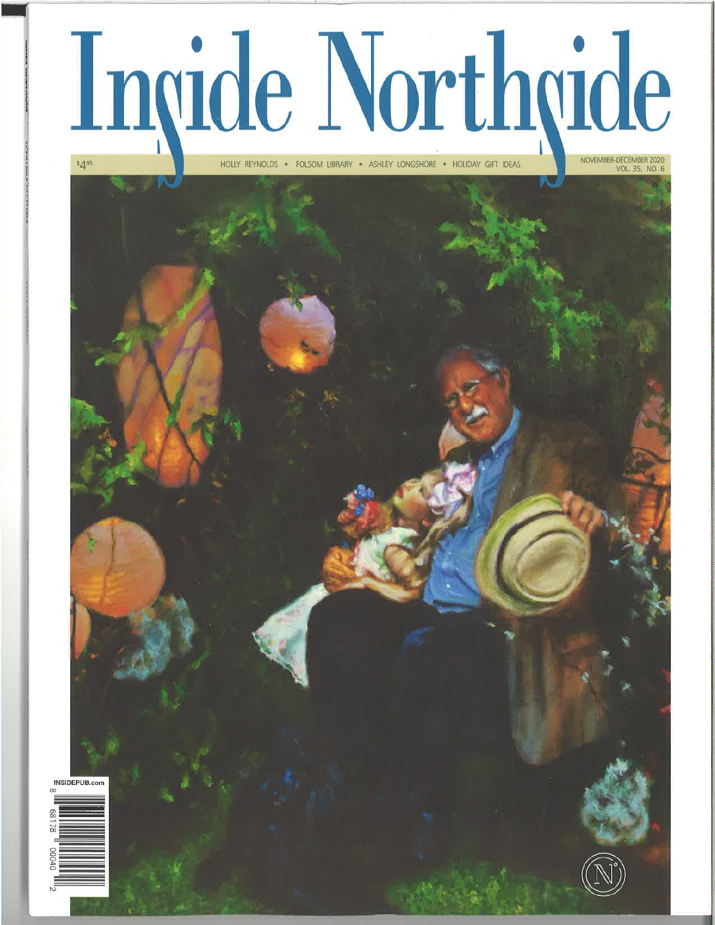## Ingide Northgide

HOLLY REYNOLDS . FOLSOM LIBRARY . ASHLEY LONGSHORE . HOLIDAY GIFT IDEAS



INSIDEDLIB con

 $5495$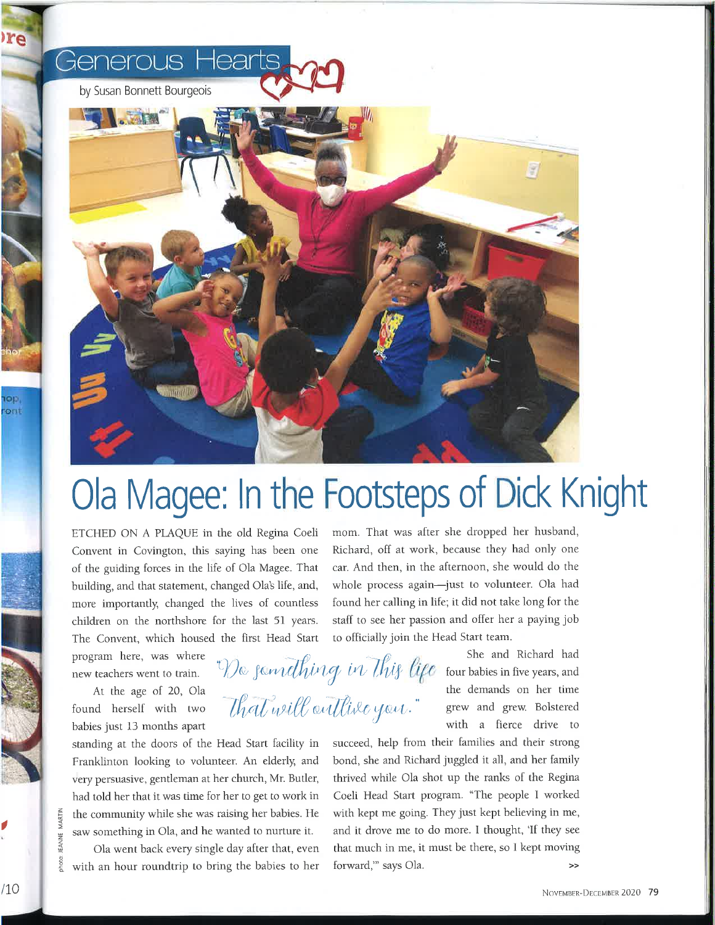

## Ola Magee: ln the Footsteps of Dick Knight

ETCHED ON A PLAQUE in the old Regina Coeli Convent in Covington, this saying has been one of the guiding forces in the life of Ola Magee. That building, and that statement, changed Ola's life, and, more importantly, changed the lives of countless children on the northshore for the last 5l years. The Convent, which housed the first Head Start

program here, was where new teachers went to train.

At the age of 20, OIa found herself with two babies just 13 months apart

standing at the doors of the Head Start facility in Franklinton looking to volunteer. An elderly, and very persuasive, gentleman at her church, Mr. Butler, had told her that it was time for her to get to work in the community while she was raising her babies. He saw something in Ola, and he wanted to nurture it.

Ola went back every single day after that, even with an hour roundtrip to bring the babies to her mom. That was after she dropped her husband, Richard, off at work, because they had only one car. And then, in the afternoon, she would do the whole process again-just to volunteer. Ola had found her calling in life; it did not take long for the staff to see her passion and offer her a paying job to officially join the Head Start team.

De familing in This life four babies in five years, and  $\mathcal{U}_\mathcal{U}$  will antitive you." grew and grew. Bolstered She and Richard had the demands on her time with a fierce drive to

> succeed, help from their families and their strong bond, she and Richard juggled it all, and her family thrived while Ola shot up the ranks of the Regina Coeli Head Start program. "The people I worked with kept me going. They just kept believing in me, and it drove me to do more. I thought, 'If they see that much in me, it must be there, so I kept moving forward," says Ola.

I

z tr

z z

ohoto

re

**OD** ont